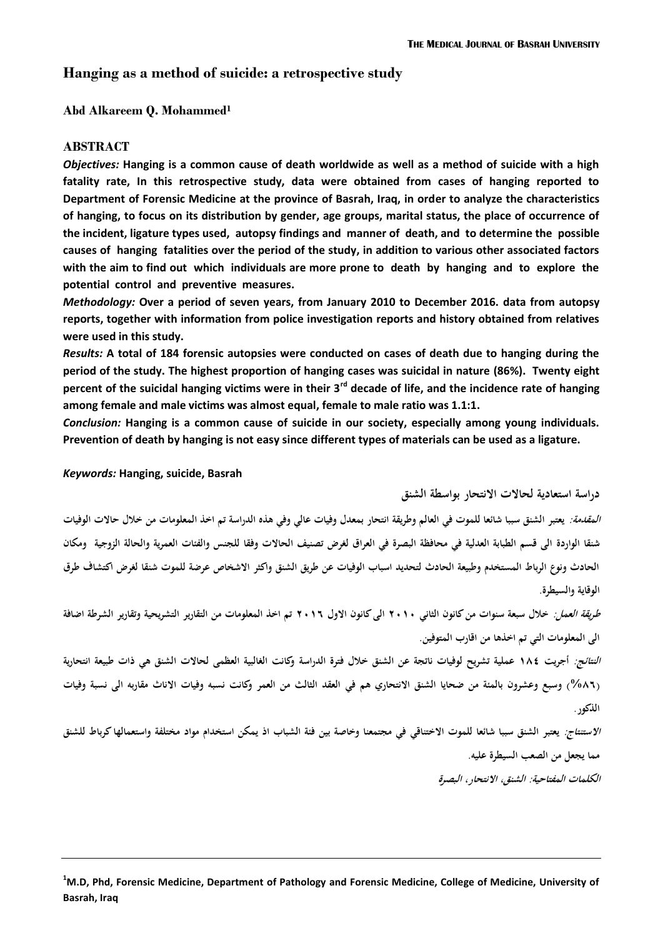# **Hanging as a method of suicide: a retrospective study**

#### **Abd Alkareem Q. Mohammed<sup>1</sup>**

#### **ABSTRACT**

*Objectives:* **Hanging is a common cause of death worldwide as well as a method of suicide with a high fatality rate, In this retrospective study, data were obtained from cases of hanging reported to Department of Forensic Medicine at the province of Basrah, Iraq, in order to analyze the characteristics of hanging, to focus on its distribution by gender, age groups, marital status, the place of occurrence of the incident, ligature types used, autopsy findings and manner of death, and to determine the possible causes of hanging fatalities over the period of the study, in addition to various other associated factors with the aim to find out which individuals are more prone to death by hanging and to explore the potential control and preventive measures.**

*Methodology:* **Over a period of seven years, from January 2010 to December 2016. data from autopsy reports, together with information from police investigation reports and history obtained from relatives were used in this study.**

*Results:* **A total of 184 forensic autopsies were conducted on cases of death due to hanging during the period of the study. The highest proportion of hanging cases was suicidal in nature (86%). Twenty eight percent of the suicidal hanging victims were in their 3rd decade of life, and the incidence rate of hanging among female and male victims was almost equal, female to male ratio was 1.1:1.**

*Conclusion:* **Hanging is a common cause of suicide in our society, especially among young individuals. Prevention of death by hanging is not easy since different types of materials can be used as a ligature.**

#### *Keywords:* **Hanging, suicide, Basrah**

**دراسة استعادية لحاالت االنتحار بواسطة الشنق**

*المقدمة:* يعتبر الشنق سببا شائعا للموت في العالم وطريقة انتحار بمعدل وفيات عالي وفي هذه الدراسة تم اخذ المعلومات من خلال حالات الوفيات شنقا الواردة الى قسم الطبابة العدلية في محافظة البصرة في العراق لغرض تصنيف الحالات وفقا للجنس والفئات العمرية والحالة الزوجية ومكان **الحادث ونوع الرباط المستخدم وطبيعة الحادث لتحديد اسباب الوفيات عن طريق الشنق واكثر االشخاص عرضة للموت شنقا لغرض اكتشاف طرق الوقاية والسيطرة.**

**طريقة العمل: خالل سبعة سنوات من كانون الثاني 0202 الى كانون االول 0202 تم اخذ المعلومات من التقارير التشريحية وتقارير الشرطة اضافة الى المعلومات التي تم اخذىا من اقارب المتوفين.**

**النتائج: أجريت 081 عملية تشريح لوفيات ناتنة عن الشنق خالل فترة الدراسة وكانت الغالبية العظمى لحاالت الشنق ىي ذات طبيعة انتحارية**  (٨٦%) وسبع وعشرون بالمئة من ضحايا الشنق الانتحاري هم في العقد الثالث من العمر وكانت نسبه وفيات الاناث مقاربه الى نسبة وفيات **الذكور.**

**االستنتاج: يعتبر الشنق سببا شائعا للموت االختناقي في منتمعنا وخاصة بين فاة الشباب اذ يمكن استخدام مواد مختلئة واستعمالها كرباط للشنق مما ينعل من الصعب السيطرة عليو.**

**الكلمات المئتاحية: الشنق، االنتحار، البصرة**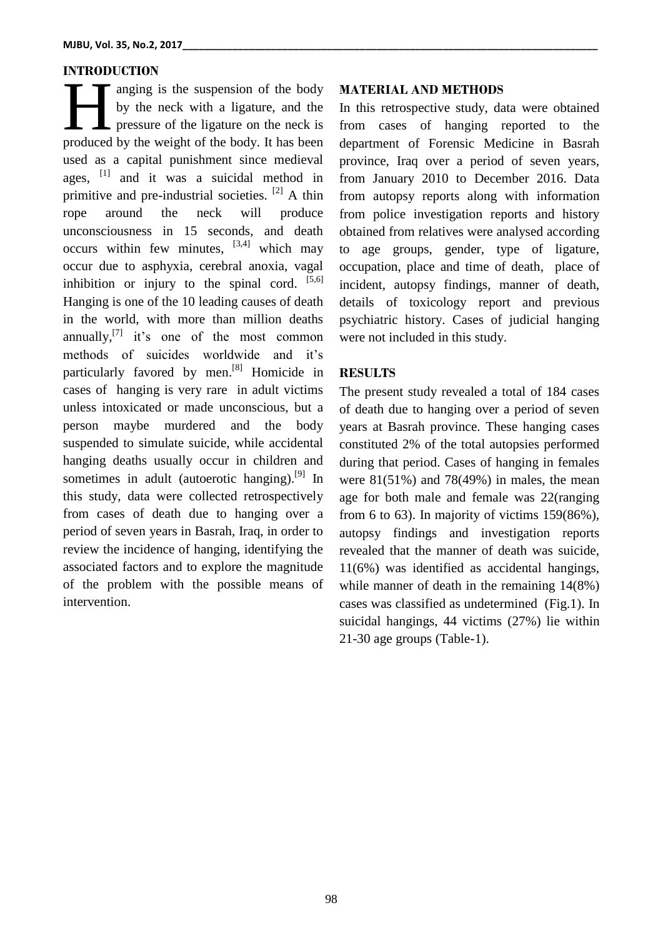# **INTRODUCTION**

anging is the suspension of the body by the neck with a ligature, and the pressure of the ligature on the neck is anging is the suspension of the body<br>by the neck with a ligature, and the<br>pressure of the ligature on the neck is<br>produced by the weight of the body. It has been used as a capital punishment since medieval ages, <sup>[1]</sup> and it was a suicidal method in primitive and pre-industrial societies. <sup>[2]</sup> A thin rope around the neck will produce unconsciousness in 15 seconds, and death occurs within few minutes,  $[3,4]$  which may occur due to asphyxia, cerebral anoxia, vagal inhibition or injury to the spinal cord. [5,6] Hanging is one of the 10 leading causes of death in the world, with more than million deaths annually, $^{[7]}$  it's one of the most common methods of suicides worldwide and it's particularly favored by men.<sup>[8]</sup> Homicide in cases of hanging is very rare in adult victims unless intoxicated or made unconscious, but a person maybe murdered and the body suspended to simulate suicide, while accidental hanging deaths usually occur in children and sometimes in adult (autoerotic hanging).<sup>[9]</sup> In this study, data were collected retrospectively from cases of death due to hanging over a period of seven years in Basrah, Iraq, in order to review the incidence of hanging, identifying the associated factors and to explore the magnitude of the problem with the possible means of intervention.

#### **MATERIAL AND METHODS**

In this retrospective study, data were obtained from cases of hanging reported to the department of Forensic Medicine in Basrah province, Iraq over a period of seven years, from January 2010 to December 2016. Data from autopsy reports along with information from police investigation reports and history obtained from relatives were analysed according to age groups, gender, type of ligature, occupation, place and time of death, place of incident, autopsy findings, manner of death, details of toxicology report and previous psychiatric history. Cases of judicial hanging were not included in this study.

### **RESULTS**

The present study revealed a total of 184 cases of death due to hanging over a period of seven years at Basrah province. These hanging cases constituted 2% of the total autopsies performed during that period. Cases of hanging in females were  $81(51\%)$  and  $78(49\%)$  in males, the mean age for both male and female was 22(ranging from 6 to 63). In majority of victims 159(86%), autopsy findings and investigation reports revealed that the manner of death was suicide, 11(6%) was identified as accidental hangings, while manner of death in the remaining 14(8%) cases was classified as undetermined (Fig.1). In suicidal hangings, 44 victims (27%) lie within 21-30 age groups (Table-1).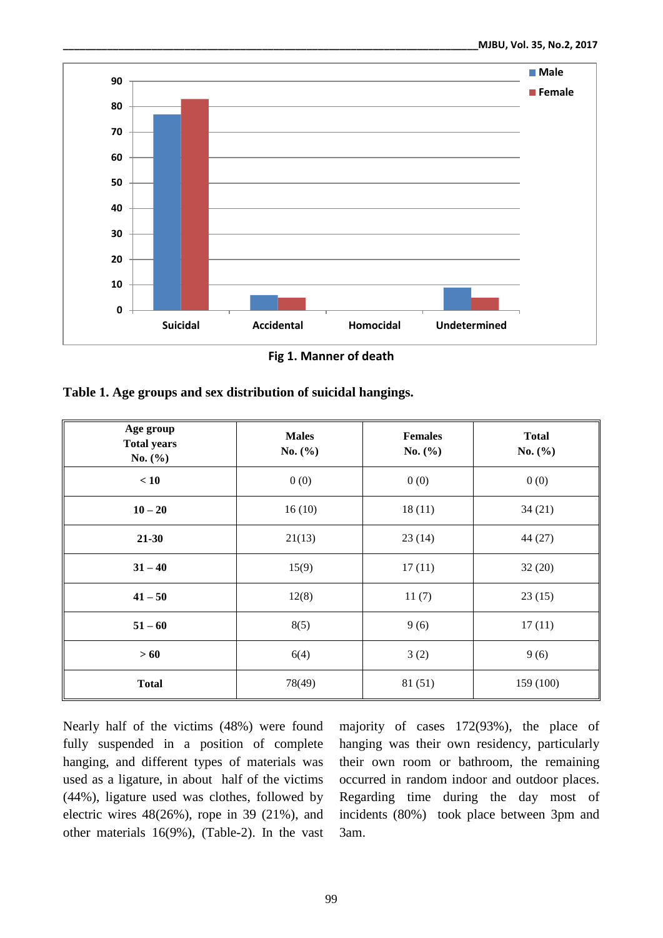

**Fig 1. Manner of death**

| Table 1. Age groups and sex distribution of suicidal hangings. |  |  |
|----------------------------------------------------------------|--|--|
|----------------------------------------------------------------|--|--|

| Age group<br><b>Total years</b><br>No. $(\% )$ | <b>Males</b><br>No. $(\% )$ | <b>Females</b><br>No. $(\% )$ | <b>Total</b><br>No. $(\% )$ |
|------------------------------------------------|-----------------------------|-------------------------------|-----------------------------|
| < 10                                           | 0(0)                        | 0(0)                          | 0(0)                        |
| $10 - 20$                                      | 16(10)                      | 18(11)                        | 34(21)                      |
| $21 - 30$                                      | 21(13)                      | 23(14)                        | 44 (27)                     |
| $31 - 40$                                      | 15(9)                       | 17(11)                        | 32(20)                      |
| $41 - 50$                                      | 12(8)                       | 11(7)                         | 23(15)                      |
| $51 - 60$                                      | 8(5)                        | 9(6)                          | 17(11)                      |
| >60                                            | 6(4)                        | 3(2)                          | 9(6)                        |
| <b>Total</b>                                   | 78(49)                      | 81 (51)                       | 159 (100)                   |

Nearly half of the victims (48%) were found fully suspended in a position of complete hanging, and different types of materials was used as a ligature, in about half of the victims (44%), ligature used was clothes, followed by electric wires 48(26%), rope in 39 (21%), and other materials 16(9%), (Table-2). In the vast

majority of cases 172(93%), the place of hanging was their own residency, particularly their own room or bathroom, the remaining occurred in random indoor and outdoor places. Regarding time during the day most of incidents (80%) took place between 3pm and 3am.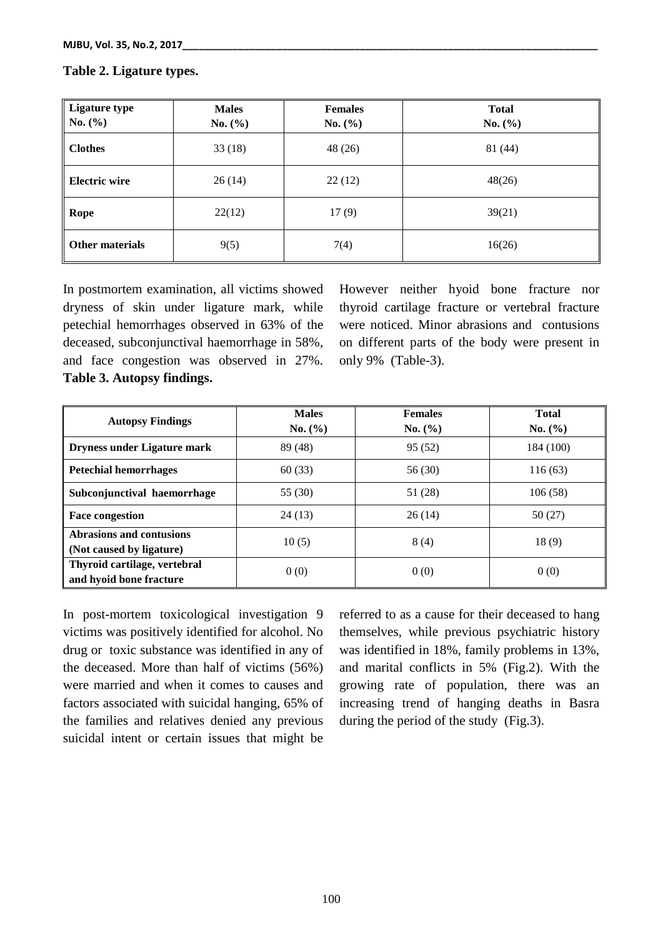#### **Ligature type No. (%) Males No. (%) Females No. (%) Total No. (%) Clothes** 33 (18) 48 (26) 81 (44) **Electric wire**  $\begin{array}{|c|c|c|c|c|c|} \hline 26 (14) & 22 (12) & \multicolumn{1}{|c|}{48(26)} \\\hline \end{array}$ **Rope** 22(12) 17 (9) 39(21) **Other materials**  $9(5)$  7(4) 16(26)

### **Table 2. Ligature types.**

In postmortem examination, all victims showed dryness of skin under ligature mark, while petechial hemorrhages observed in 63% of the deceased, subconjunctival haemorrhage in 58%, and face congestion was observed in 27%. **Table 3. Autopsy findings.**

However neither hyoid bone fracture nor thyroid cartilage fracture or vertebral fracture were noticed. Minor abrasions and contusions on different parts of the body were present in only 9% (Table-3).

| <b>Autopsy Findings</b>                                 | <b>Males</b><br>No. (%) | <b>Females</b><br>No. (%) | <b>Total</b><br>No. (%) |
|---------------------------------------------------------|-------------------------|---------------------------|-------------------------|
| <b>Dryness under Ligature mark</b>                      | 89 (48)                 | 95(52)                    | 184 (100)               |
| <b>Petechial hemorrhages</b>                            | 60(33)                  | 56 (30)                   | 116(63)                 |
| Subconjunctival haemorrhage                             | 55 $(30)$               | 51 (28)                   | 106(58)                 |
| <b>Face congestion</b>                                  | 24(13)                  | 26(14)                    | 50 (27)                 |
| Abrasions and contusions<br>(Not caused by ligature)    | 10(5)                   | 8(4)                      | 18(9)                   |
| Thyroid cartilage, vertebral<br>and hyoid bone fracture | 0(0)                    | 0(0)                      | 0(0)                    |

In post-mortem toxicological investigation 9 victims was positively identified for alcohol. No drug or toxic substance was identified in any of the deceased. More than half of victims (56%) were married and when it comes to causes and factors associated with suicidal hanging, 65% of the families and relatives denied any previous suicidal intent or certain issues that might be referred to as a cause for their deceased to hang themselves, while previous psychiatric history was identified in 18%, family problems in 13%, and marital conflicts in 5% (Fig.2). With the growing rate of population, there was an increasing trend of hanging deaths in Basra during the period of the study (Fig.3).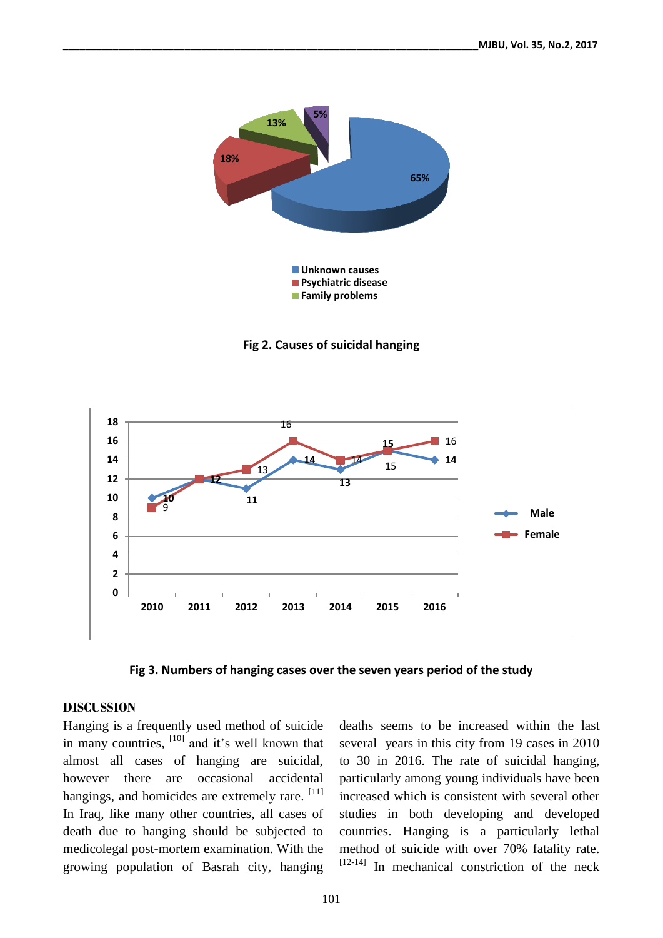

**Fig 2. Causes of suicidal hanging**



**Fig 3. Numbers of hanging cases over the seven years period of the study**

### **DISCUSSION**

Hanging is a frequently used method of suicide in many countries, <sup>[10]</sup> and it's well known that almost all cases of hanging are suicidal, however there are occasional accidental hangings, and homicides are extremely rare. [11] In Iraq, like many other countries, all cases of death due to hanging should be subjected to medicolegal post-mortem examination. With the growing population of Basrah city, hanging

deaths seems to be increased within the last several years in this city from 19 cases in 2010 to 30 in 2016. The rate of suicidal hanging, particularly among young individuals have been increased which is consistent with several other studies in both developing and developed countries. Hanging is a particularly lethal method of suicide with over 70% fatality rate. [12-14] In mechanical constriction of the neck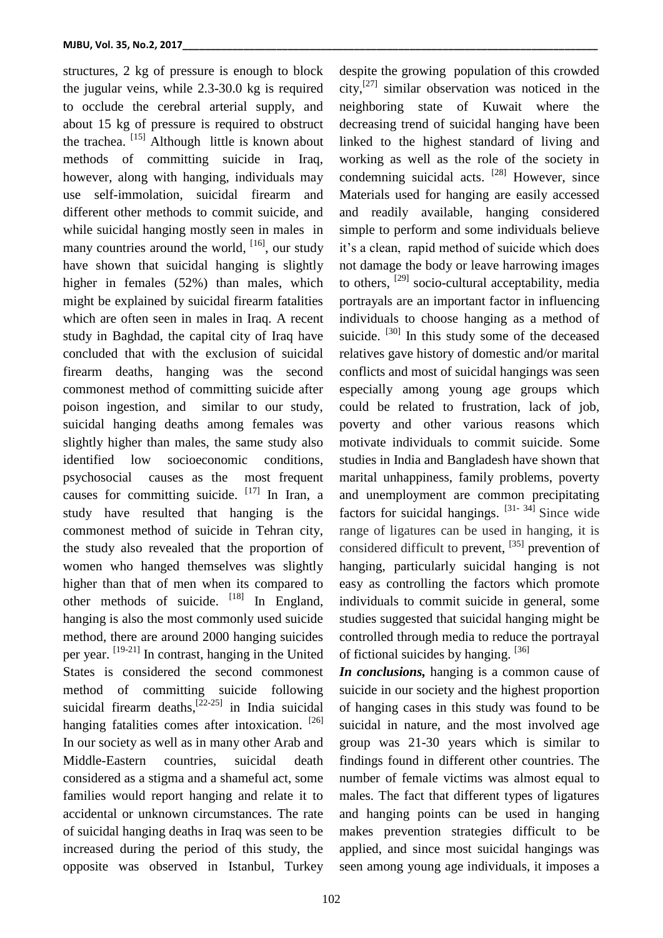structures, 2 kg of pressure is enough to block the jugular veins, while 2.3-30.0 kg is required to occlude the cerebral arterial supply, and about 15 kg of pressure is required to obstruct the trachea. <sup>[15]</sup> Although little is known about methods of committing suicide in Iraq, however, along with hanging, individuals may use self-immolation, suicidal firearm and different other methods to commit suicide, and while suicidal hanging mostly seen in males in many countries around the world, <sup>[16]</sup>, our study have shown that suicidal hanging is slightly higher in females (52%) than males, which might be explained by suicidal firearm fatalities which are often seen in males in Iraq. A recent study in Baghdad, the capital city of Iraq have concluded that with the exclusion of suicidal firearm deaths, hanging was the second commonest method of committing suicide after poison ingestion, and similar to our study, suicidal hanging deaths among females was slightly higher than males, the same study also identified low socioeconomic conditions, psychosocial causes as the most frequent causes for committing suicide. [17] In Iran, a study have resulted that hanging is the commonest method of suicide in Tehran city, the study also revealed that the proportion of women who hanged themselves was slightly higher than that of men when its compared to other methods of suicide. <sup>[18]</sup> In England, hanging is also the most commonly used suicide method, there are around 2000 hanging suicides per year. <sup>[19-21]</sup> In contrast, hanging in the United States is considered the second commonest method of committing suicide following suicidal firearm deaths,  $[22-25]$  in India suicidal hanging fatalities comes after intoxication. [26] In our society as well as in many other Arab and Middle-Eastern countries, suicidal death considered as a stigma and a shameful act, some families would report hanging and relate it to accidental or unknown circumstances. The rate of suicidal hanging deaths in Iraq was seen to be increased during the period of this study, the opposite was observed in Istanbul, Turkey

despite the growing population of this crowded city, [27] similar observation was noticed in the neighboring state of Kuwait where the decreasing trend of suicidal hanging have been linked to the highest standard of living and working as well as the role of the society in condemning suicidal acts. <sup>[28]</sup> However, since Materials used for hanging are easily accessed and readily available, hanging considered simple to perform and some individuals believe it's a clean, rapid method of suicide which does not damage the body or leave harrowing images to others, <sup>[29]</sup> socio-cultural acceptability, media portrayals are an important factor in influencing individuals to choose hanging as a method of suicide. <sup>[30]</sup> In this study some of the deceased relatives gave history of domestic and/or marital conflicts and most of suicidal hangings was seen especially among young age groups which could be related to frustration, lack of job, poverty and other various reasons which motivate individuals to commit suicide. Some studies in India and Bangladesh have shown that marital unhappiness, family problems, poverty and unemployment are common precipitating factors for suicidal hangings.  $[31 - 34]$  Since wide range of ligatures can be used in hanging, it is considered difficult to prevent, <sup>[35]</sup> prevention of hanging, particularly suicidal hanging is not easy as controlling the factors which promote individuals to commit suicide in general, some studies suggested that suicidal hanging might be controlled through media to reduce the portrayal of fictional suicides by hanging. [36]

*In conclusions,* hanging is a common cause of suicide in our society and the highest proportion of hanging cases in this study was found to be suicidal in nature, and the most involved age group was 21-30 years which is similar to findings found in different other countries. The number of female victims was almost equal to males. The fact that different types of ligatures and hanging points can be used in hanging makes prevention strategies difficult to be applied, and since most suicidal hangings was seen among young age individuals, it imposes a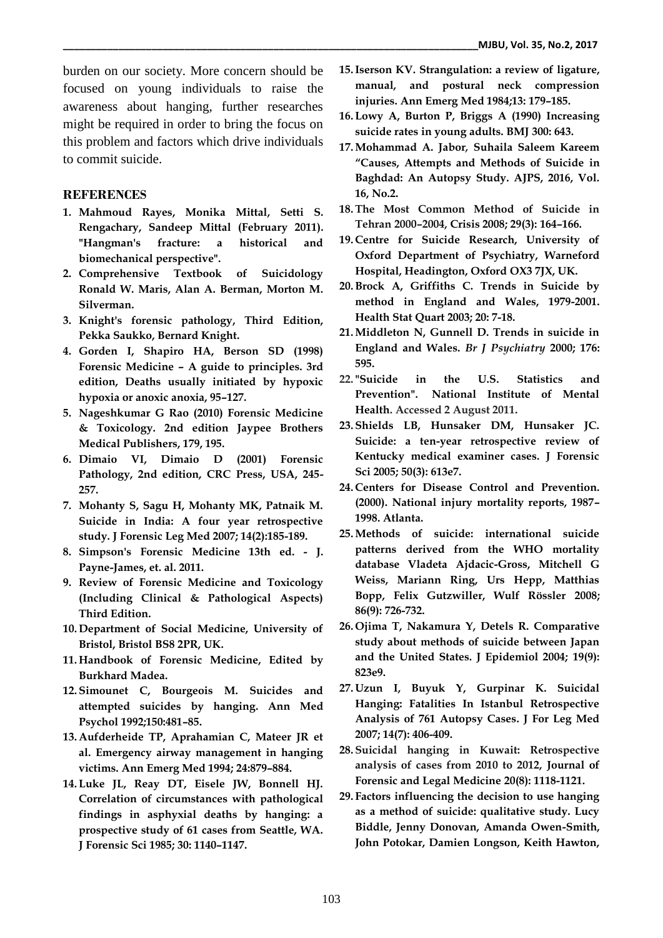burden on our society. More concern should be focused on young individuals to raise the awareness about hanging, further researches might be required in order to bring the focus on this problem and factors which drive individuals to commit suicide.

## **REFERENCES**

- **1. Mahmoud Rayes, Monika Mittal, Setti S. Rengachary, Sandeep Mittal (February 2011). "Hangman's fracture: a historical and biomechanical perspective".**
- **2. Comprehensive Textbook of Suicidology Ronald W. Maris, Alan A. Berman, Morton M. Silverman.**
- **3. Knight's forensic pathology, Third Edition, Pekka Saukko, Bernard Knight.**
- **4. Gorden I, Shapiro HA, Berson SD (1998) Forensic Medicine – A guide to principles. 3rd edition, Deaths usually initiated by hypoxic hypoxia or anoxic anoxia, 95–127.**
- **5. Nageshkumar G Rao (2010) Forensic Medicine & Toxicology. 2nd edition Jaypee Brothers Medical Publishers, 179, 195.**
- **6. Dimaio VI, Dimaio D (2001) Forensic Pathology, 2nd edition, CRC Press, USA, 245- 257.**
- **7. Mohanty S, Sagu H, Mohanty MK, Patnaik M. Suicide in India: A four year retrospective study. J Forensic Leg Med 2007; 14(2):185-189.**
- **8. Simpson's Forensic Medicine 13th ed. - J. Payne-James, et. al. 2011.**
- **9. Review of Forensic Medicine and Toxicology (Including Clinical & Pathological Aspects) Third Edition.**
- **10. Department of Social Medicine, University of Bristol, Bristol BS8 2PR, UK.**
- **11. Handbook of Forensic Medicine, Edited by Burkhard Madea.**
- **12. Simounet C, Bourgeois M. Suicides and attempted suicides by hanging. Ann Med Psychol 1992;150:481–85.**
- **13. Aufderheide TP, Aprahamian C, Mateer JR et al. Emergency airway management in hanging victims. Ann Emerg Med 1994; 24:879–884.**
- **14. Luke JL, Reay DT, Eisele JW, Bonnell HJ. Correlation of circumstances with pathological findings in asphyxial deaths by hanging: a prospective study of 61 cases from Seattle, WA. J Forensic Sci 1985; 30: 1140–1147.**
- **15.Iserson KV. Strangulation: a review of ligature, manual, and postural neck compression injuries. Ann Emerg Med 1984;13: 179–185.**
- **16. Lowy A, Burton P, Briggs A (1990) Increasing suicide rates in young adults. BMJ 300: 643.**
- **17.Mohammad A. Jabor***,* **Suhaila Saleem Kareem "Causes, Attempts and Methods of Suicide in Baghdad: An Autopsy Study. AJPS, 2016, Vol. 16, No.2.**
- **18.The Most Common Method of Suicide in Tehran 2000–2004, Crisis 2008; 29(3): 164–166.**
- **19. Centre for Suicide Research, University of Oxford Department of Psychiatry, Warneford Hospital, Headington, Oxford OX3 7JX, UK.**
- **20.Brock A, Griffiths C. Trends in Suicide by method in England and Wales, 1979-2001. Health Stat Quart 2003; 20: 7-18.**
- **21.Middleton N, Gunnell D. Trends in suicide in England and Wales.** *Br J Psychiatry* **2000; 176: 595.**
- **22. "Suicide in the U.S. Statistics and Prevention". National Institute of Mental Health. Accessed 2 August 2011.**
- **23. Shields LB, Hunsaker DM, Hunsaker JC. Suicide: a ten-year retrospective review of Kentucky medical examiner cases. J Forensic Sci 2005; 50(3): 613e7.**
- **24. Centers for Disease Control and Prevention. (2000). National injury mortality reports, 1987– 1998. Atlanta.**
- **25.Methods of suicide: international suicide patterns derived from the WHO mortality database Vladeta Ajdacic-Gross, Mitchell G Weiss, Mariann Ring, Urs Hepp, Matthias Bopp, Felix Gutzwiller, Wulf Rössler 2008; 86(9): 726-732.**
- **26. Ojima T, Nakamura Y, Detels R. Comparative study about methods of suicide between Japan and the United States. J Epidemiol 2004; 19(9): 823e9.**
- **27. Uzun I, Buyuk Y, Gurpinar K. Suicidal Hanging: Fatalities In Istanbul Retrospective Analysis of 761 Autopsy Cases. J For Leg Med 2007; 14(7): 406-409.**
- **28. Suicidal hanging in Kuwait: Retrospective analysis of cases from 2010 to 2012, [Journal of](https://www.researchgate.net/journal/1878-7487_Journal_of_Forensic_and_Legal_Medicine)  [Forensic and Legal Medicine](https://www.researchgate.net/journal/1878-7487_Journal_of_Forensic_and_Legal_Medicine) 20(8): 1118-1121.**
- **29. Factors influencing the decision to use hanging as a method of suicide: qualitative study. Lucy Biddle, Jenny Donovan, Amanda Owen-Smith, John Potokar, Damien Longson, Keith Hawton,**